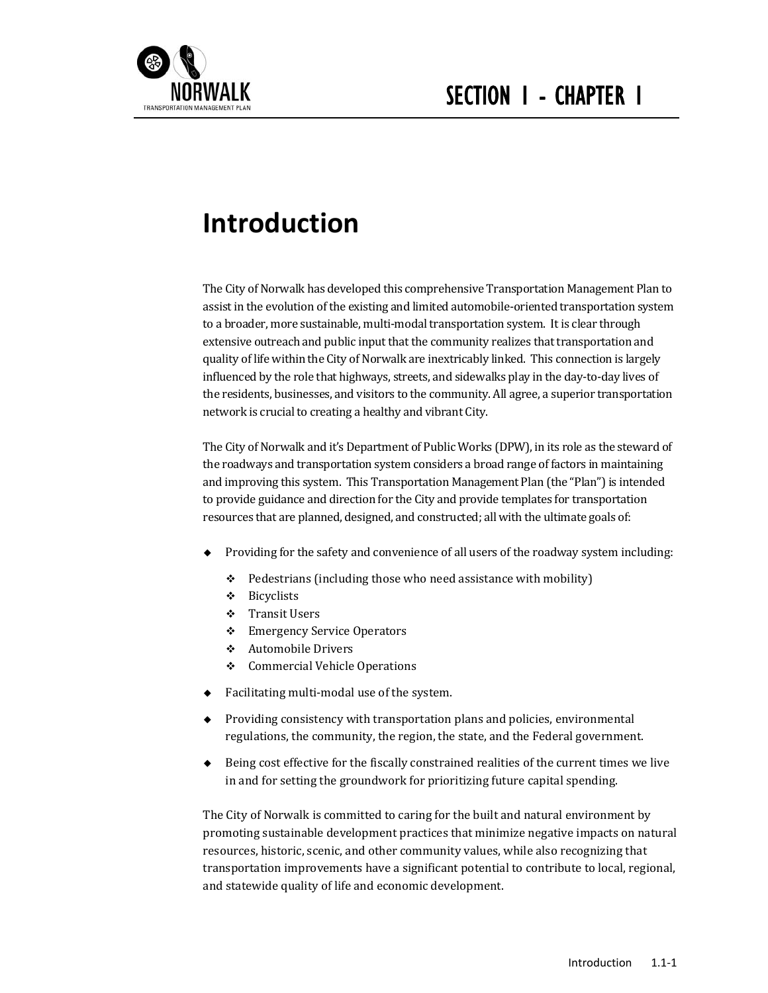

# **Introduction**

The City of Norwalk has developed this comprehensive Transportation Management Plan to assist in the evolution of the existing and limited automobile-oriented transportation system to a broader, more sustainable, multi-modal transportation system. It is clear through extensive outreach and public input that the community realizes that transportation and quality of life within the City of Norwalk are inextricably linked. This connection is largely influenced by the role that highways, streets, and sidewalks play in the day-to-day lives of the residents, businesses, and visitors to the community. All agree, a superior transportation network is crucial to creating a healthy and vibrant City.

The City of Norwalk and it's Department of Public Works (DPW), in its role as the steward of the roadways and transportation system considers a broad range of factors in maintaining and improving this system. This Transportation Management Plan (the "Plan") is intended to provide guidance and direction for the City and provide templates for transportation resources that are planned, designed, and constructed; all with the ultimate goals of:

- Providing for the safety and convenience of all users of the roadway system including:
	- $\div$  Pedestrians (including those who need assistance with mobility)
	- Bicyclists
	- **❖** Transit Users
	- ❖ Emergency Service Operators
	- ❖ Automobile Drivers
	- ❖ Commercial Vehicle Operations
- $\bullet$  Facilitating multi-modal use of the system.
- $\blacklozenge$  Providing consistency with transportation plans and policies, environmental regulations, the community, the region, the state, and the Federal government.
- $\blacklozenge$  Being cost effective for the fiscally constrained realities of the current times we live in and for setting the groundwork for prioritizing future capital spending.

The City of Norwalk is committed to caring for the built and natural environment by promoting sustainable development practices that minimize negative impacts on natural resources, historic, scenic, and other community values, while also recognizing that transportation improvements have a significant potential to contribute to local, regional, and statewide quality of life and economic development.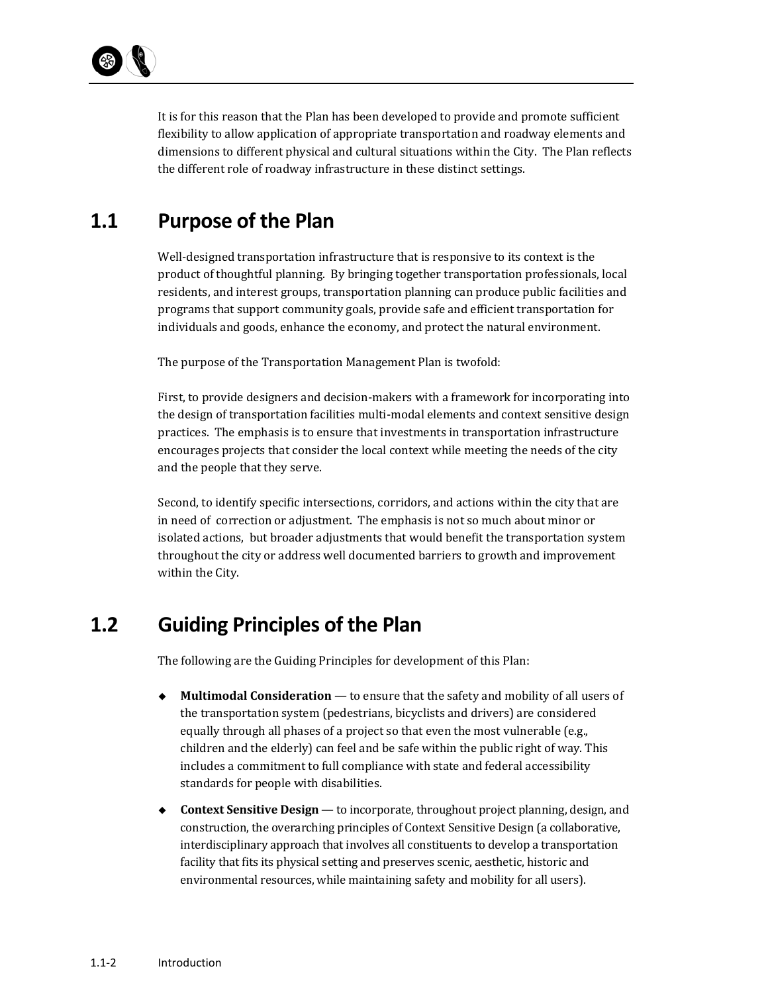It is for this reason that the Plan has been developed to provide and promote sufficient flexibility to allow application of appropriate transportation and roadway elements and dimensions to different physical and cultural situations within the City. The Plan reflects the different role of roadway infrastructure in these distinct settings.

### **1.1 Purpose of the Plan**

Well-designed transportation infrastructure that is responsive to its context is the product of thoughtful planning. By bringing together transportation professionals, local residents, and interest groups, transportation planning can produce public facilities and programs that support community goals, provide safe and efficient transportation for individuals and goods, enhance the economy, and protect the natural environment.

The purpose of the Transportation Management Plan is twofold:

First, to provide designers and decision-makers with a framework for incorporating into the design of transportation facilities multi-modal elements and context sensitive design practices. The emphasis is to ensure that investments in transportation infrastructure encourages projects that consider the local context while meeting the needs of the city and the people that they serve.

Second, to identify specific intersections, corridors, and actions within the city that are in need of correction or adjustment. The emphasis is not so much about minor or isolated actions, but broader adjustments that would benefit the transportation system throughout the city or address well documented barriers to growth and improvement within the City.

### **1.2 Guiding Principles of the Plan**

The following are the Guiding Principles for development of this Plan:

- ◆ **Multimodal Consideration** to ensure that the safety and mobility of all users of the transportation system (pedestrians, bicyclists and drivers) are considered equally through all phases of a project so that even the most vulnerable (e.g., children and the elderly) can feel and be safe within the public right of way. This includes a commitment to full compliance with state and federal accessibility standards for people with disabilities.
- ◆ **Context Sensitive Design** to incorporate, throughout project planning, design, and construction, the overarching principles of Context Sensitive Design (a collaborative, interdisciplinary approach that involves all constituents to develop a transportation facility that fits its physical setting and preserves scenic, aesthetic, historic and environmental resources, while maintaining safety and mobility for all users).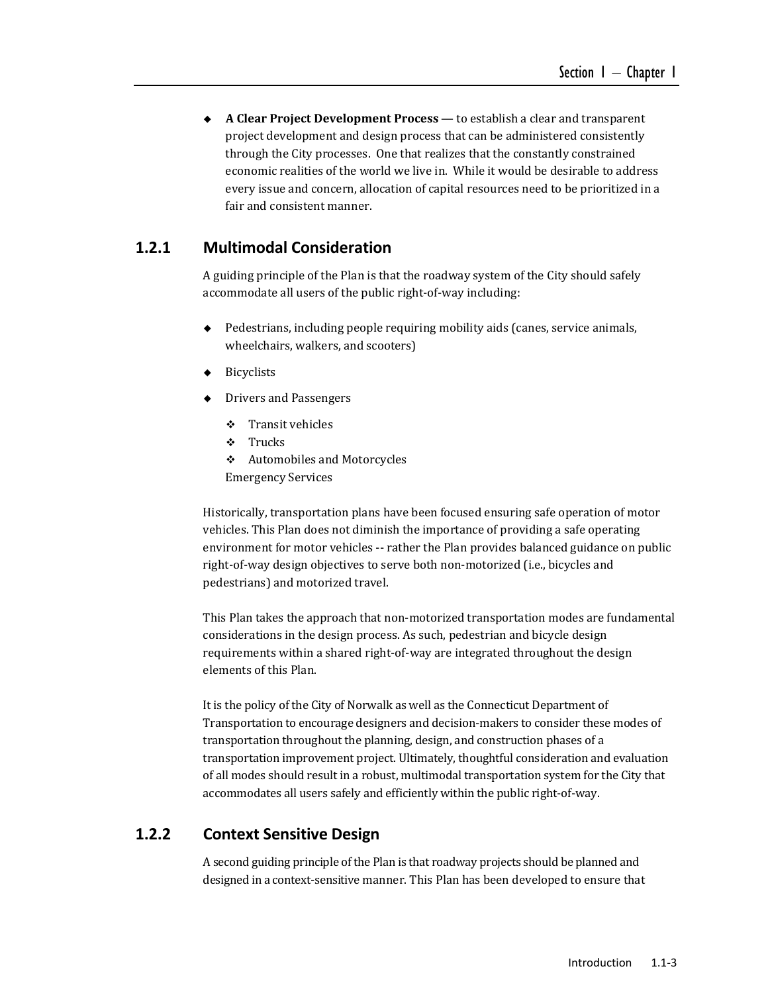◆ **A Clear Project Development Process** — to establish a clear and transparent project development and design process that can be administered consistently through the City processes. One that realizes that the constantly constrained economic realities of the world we live in. While it would be desirable to address every issue and concern, allocation of capital resources need to be prioritized in a fair and consistent manner.

### **1.2.1 Multimodal Consideration**

A guiding principle of the Plan is that the roadway system of the City should safely accommodate all users of the public right-of-way including:

- Pedestrians, including people requiring mobility aids (canes, service animals, wheelchairs, walkers, and scooters)
- Bicyclists
- ◆ Drivers and Passengers
	- $\div$  Transit vehicles
	- Trucks
	- ❖ Automobiles and Motorcycles

Emergency Services 

Historically, transportation plans have been focused ensuring safe operation of motor vehicles. This Plan does not diminish the importance of providing a safe operating environment for motor vehicles -- rather the Plan provides balanced guidance on public right-of-way design objectives to serve both non-motorized (i.e., bicycles and pedestrians) and motorized travel.

This Plan takes the approach that non-motorized transportation modes are fundamental considerations in the design process. As such, pedestrian and bicycle design requirements within a shared right-of-way are integrated throughout the design elements of this Plan.

It is the policy of the City of Norwalk as well as the Connecticut Department of Transportation to encourage designers and decision-makers to consider these modes of transportation throughout the planning, design, and construction phases of a transportation improvement project. Ultimately, thoughtful consideration and evaluation of all modes should result in a robust, multimodal transportation system for the City that accommodates all users safely and efficiently within the public right-of-way.

### **1.2.2 Context Sensitive Design**

A second guiding principle of the Plan is that roadway projects should be planned and designed in a context-sensitive manner. This Plan has been developed to ensure that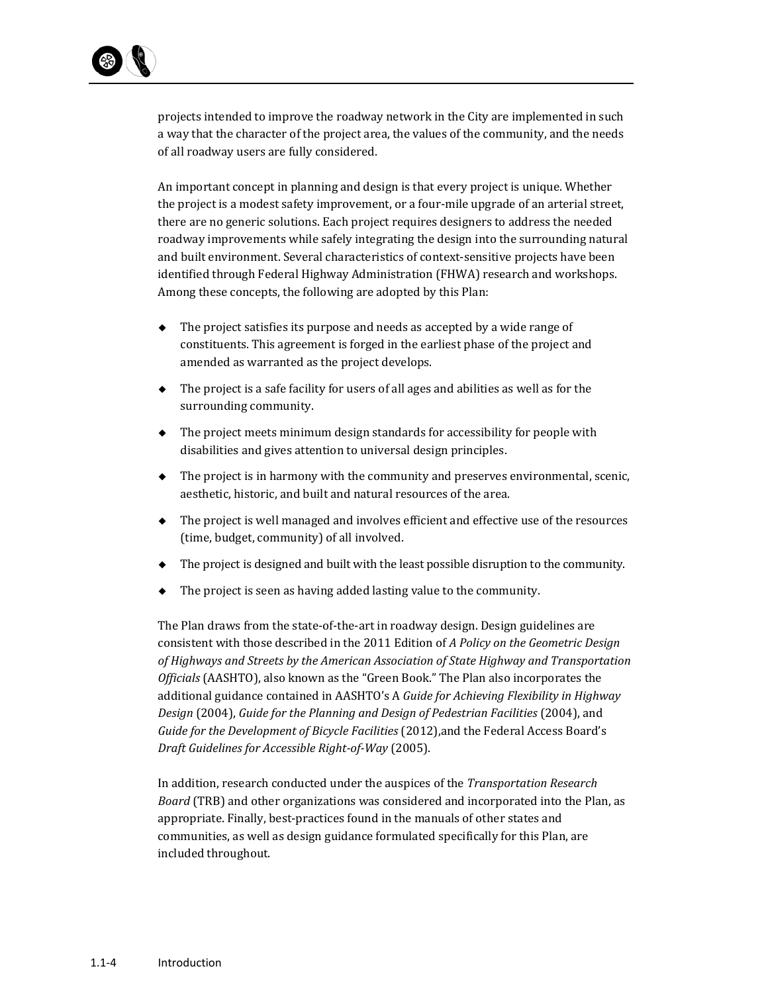

projects intended to improve the roadway network in the City are implemented in such a way that the character of the project area, the values of the community, and the needs of all roadway users are fully considered.

An important concept in planning and design is that every project is unique. Whether the project is a modest safety improvement, or a four-mile upgrade of an arterial street, there are no generic solutions. Each project requires designers to address the needed roadway improvements while safely integrating the design into the surrounding natural and built environment. Several characteristics of context-sensitive projects have been identified through Federal Highway Administration (FHWA) research and workshops. Among these concepts, the following are adopted by this Plan:

- $\bullet$  The project satisfies its purpose and needs as accepted by a wide range of constituents. This agreement is forged in the earliest phase of the project and amended as warranted as the project develops.
- $\blacklozenge$  The project is a safe facility for users of all ages and abilities as well as for the surrounding community.
- $\bullet$  The project meets minimum design standards for accessibility for people with disabilities and gives attention to universal design principles.
- $\blacklozenge$  The project is in harmony with the community and preserves environmental, scenic, aesthetic, historic, and built and natural resources of the area.
- $\bullet$  The project is well managed and involves efficient and effective use of the resources (time, budget, community) of all involved.
- $\blacklozenge$  The project is designed and built with the least possible disruption to the community.
- The project is seen as having added lasting value to the community.

The Plan draws from the state-of-the-art in roadway design. Design guidelines are consistent with those described in the 2011 Edition of *A Policy on the Geometric Design of Highways and Streets by the American Association of State Highway and Transportation Officials* (AASHTO), also known as the "Green Book." The Plan also incorporates the additional guidance contained in AASHTO's A *Guide for Achieving Flexibility in Highway Design* (2004), *Guide for the Planning and Design of Pedestrian Facilities* (2004), and *Guide for the Development of Bicycle Facilities* (2012),and the Federal Access Board's *Draft Guidelines for Accessible Right‐of‐Way* (2005). 

In addition, research conducted under the auspices of the *Transportation Research Board* (TRB) and other organizations was considered and incorporated into the Plan, as appropriate. Finally, best-practices found in the manuals of other states and communities, as well as design guidance formulated specifically for this Plan, are included throughout.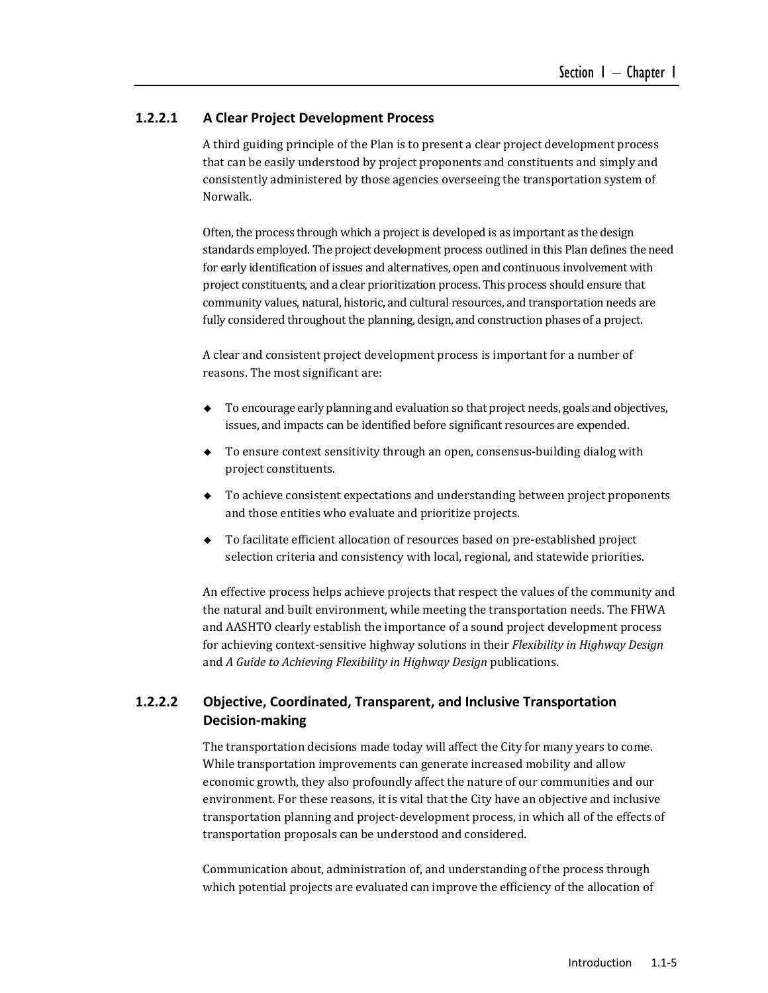#### **1.2.2.1 A Clear Project Development Process**

A third guiding principle of the Plan is to present a clear project development process that can be easily understood by project proponents and constituents and simply and consistently administered by those agencies overseeing the transportation system of Norwalk. 

Often, the process through which a project is developed is as important as the design standards employed. The project development process outlined in this Plan defines the need for early identification of issues and alternatives, open and continuous involvement with project constituents, and a clear prioritization process. This process should ensure that community values, natural, historic, and cultural resources, and transportation needs are fully considered throughout the planning, design, and construction phases of a project.

A clear and consistent project development process is important for a number of reasons. The most significant are:

- To encourage early planning and evaluation so that project needs, goals and objectives, issues, and impacts can be identified before significant resources are expended.
- ◆ To ensure context sensitivity through an open, consensus-building dialog with project constituents.
- $\bullet$  To achieve consistent expectations and understanding between project proponents and those entities who evaluate and prioritize projects.
- To facilitate efficient allocation of resources based on pre-established project selection criteria and consistency with local, regional, and statewide priorities.

An effective process helps achieve projects that respect the values of the community and the natural and built environment, while meeting the transportation needs. The FHWA and AASHTO clearly establish the importance of a sound project development process for achieving context-sensitive highway solutions in their *Flexibility* in *Highway Design* and *A Guide to Achieving Flexibility in Highway Design* publications. 

### **1.2.2.2 Objective, Coordinated, Transparent, and Inclusive Transportation Decision‐making**

The transportation decisions made today will affect the City for many years to come. While transportation improvements can generate increased mobility and allow economic growth, they also profoundly affect the nature of our communities and our environment. For these reasons, it is vital that the City have an objective and inclusive transportation planning and project-development process, in which all of the effects of transportation proposals can be understood and considered.

Communication about, administration of, and understanding of the process through which potential projects are evaluated can improve the efficiency of the allocation of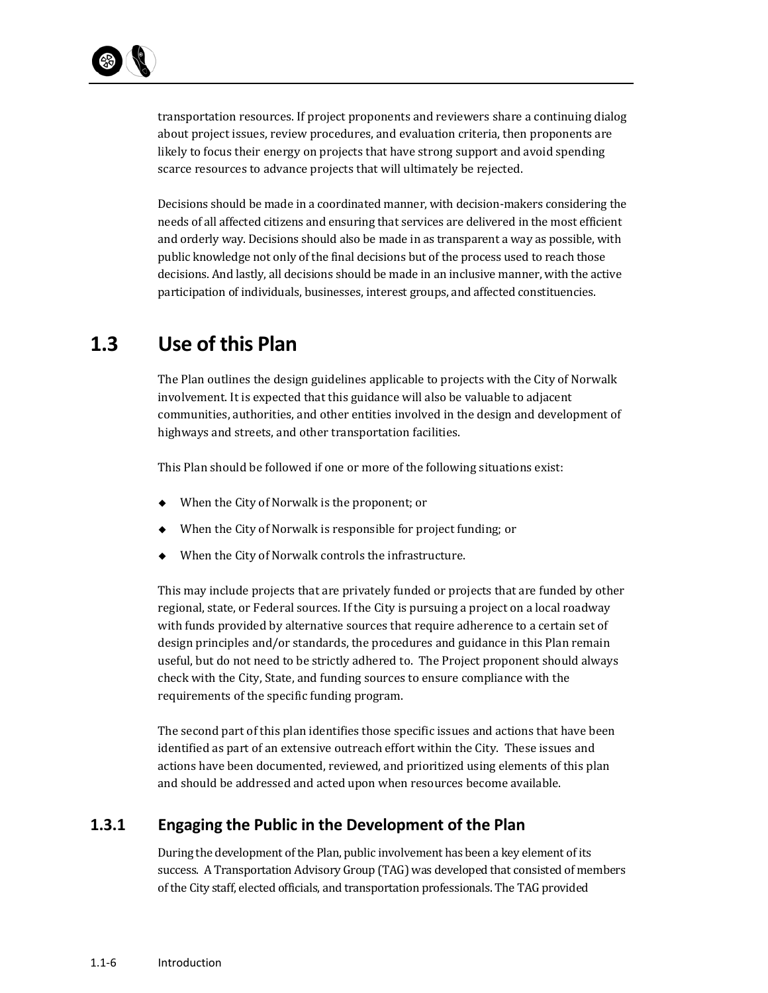transportation resources. If project proponents and reviewers share a continuing dialog about project issues, review procedures, and evaluation criteria, then proponents are likely to focus their energy on projects that have strong support and avoid spending scarce resources to advance projects that will ultimately be rejected.

Decisions should be made in a coordinated manner, with decision-makers considering the needs of all affected citizens and ensuring that services are delivered in the most efficient and orderly way. Decisions should also be made in as transparent a way as possible, with public knowledge not only of the final decisions but of the process used to reach those decisions. And lastly, all decisions should be made in an inclusive manner, with the active participation of individuals, businesses, interest groups, and affected constituencies.

### **1.3 Use of this Plan**

The Plan outlines the design guidelines applicable to projects with the City of Norwalk involvement. It is expected that this guidance will also be valuable to adjacent communities, authorities, and other entities involved in the design and development of highways and streets, and other transportation facilities.

This Plan should be followed if one or more of the following situations exist:

- $\blacklozenge$  When the City of Norwalk is the proponent; or
- When the City of Norwalk is responsible for project funding; or
- When the City of Norwalk controls the infrastructure.

This may include projects that are privately funded or projects that are funded by other regional, state, or Federal sources. If the City is pursuing a project on a local roadway with funds provided by alternative sources that require adherence to a certain set of design principles and/or standards, the procedures and guidance in this Plan remain useful, but do not need to be strictly adhered to. The Project proponent should always check with the City, State, and funding sources to ensure compliance with the requirements of the specific funding program.

The second part of this plan identifies those specific issues and actions that have been identified as part of an extensive outreach effort within the City. These issues and actions have been documented, reviewed, and prioritized using elements of this plan and should be addressed and acted upon when resources become available.

### **1.3.1 Engaging the Public in the Development of the Plan**

During the development of the Plan, public involvement has been a key element of its success. A Transportation Advisory Group (TAG) was developed that consisted of members of the City staff, elected officials, and transportation professionals. The TAG provided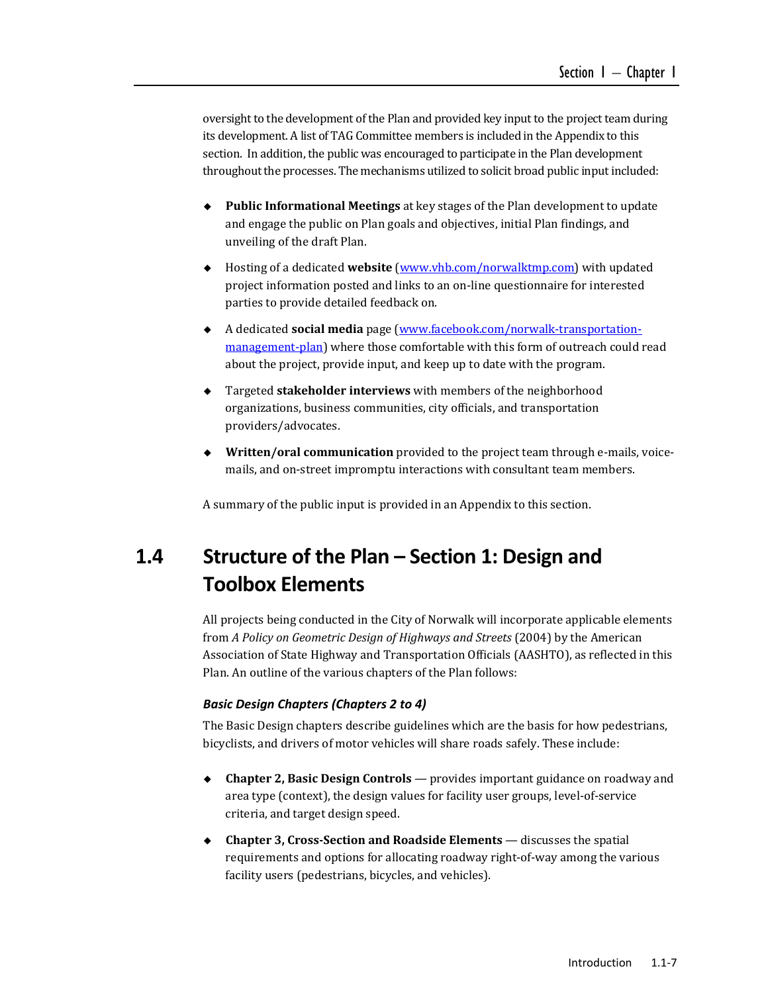oversight to the development of the Plan and provided key input to the project team during its development. A list of TAG Committee members is included in the Appendix to this section. In addition, the public was encouraged to participate in the Plan development throughout the processes. The mechanisms utilized to solicit broad public input included:

- ◆ **Public Informational Meetings** at key stages of the Plan development to update and engage the public on Plan goals and objectives, initial Plan findings, and unveiling of the draft Plan.
- ◆ Hosting of a dedicated **website** (www.vhb.com/norwalktmp.com) with updated project information posted and links to an on-line questionnaire for interested parties to provide detailed feedback on.
- ◆ A dedicated **social media** page (www.facebook.com/norwalk-transportationmanagement-plan) where those comfortable with this form of outreach could read about the project, provide input, and keep up to date with the program.
- ◆ Targeted **stakeholder interviews** with members of the neighborhood organizations, business communities, city officials, and transportation providers/advocates.
- ◆ Written/oral communication provided to the project team through e-mails, voicemails, and on-street impromptu interactions with consultant team members.

A summary of the public input is provided in an Appendix to this section.

## **1.4 Structure of the Plan – Section 1: Design and Toolbox Elements**

All projects being conducted in the City of Norwalk will incorporate applicable elements from *A Policy on Geometric Design of Highways and Streets* (2004) by the American Association of State Highway and Transportation Officials (AASHTO), as reflected in this Plan. An outline of the various chapters of the Plan follows:

#### *Basic Design Chapters (Chapters 2 to 4)*

The Basic Design chapters describe guidelines which are the basis for how pedestrians, bicyclists, and drivers of motor vehicles will share roads safely. These include:

- ◆ **Chapter 2, Basic Design Controls** provides important guidance on roadway and area type (context), the design values for facility user groups, level-of-service criteria, and target design speed.
- ◆ Chapter **3**, Cross-Section and Roadside Elements discusses the spatial requirements and options for allocating roadway right-of-way among the various facility users (pedestrians, bicycles, and vehicles).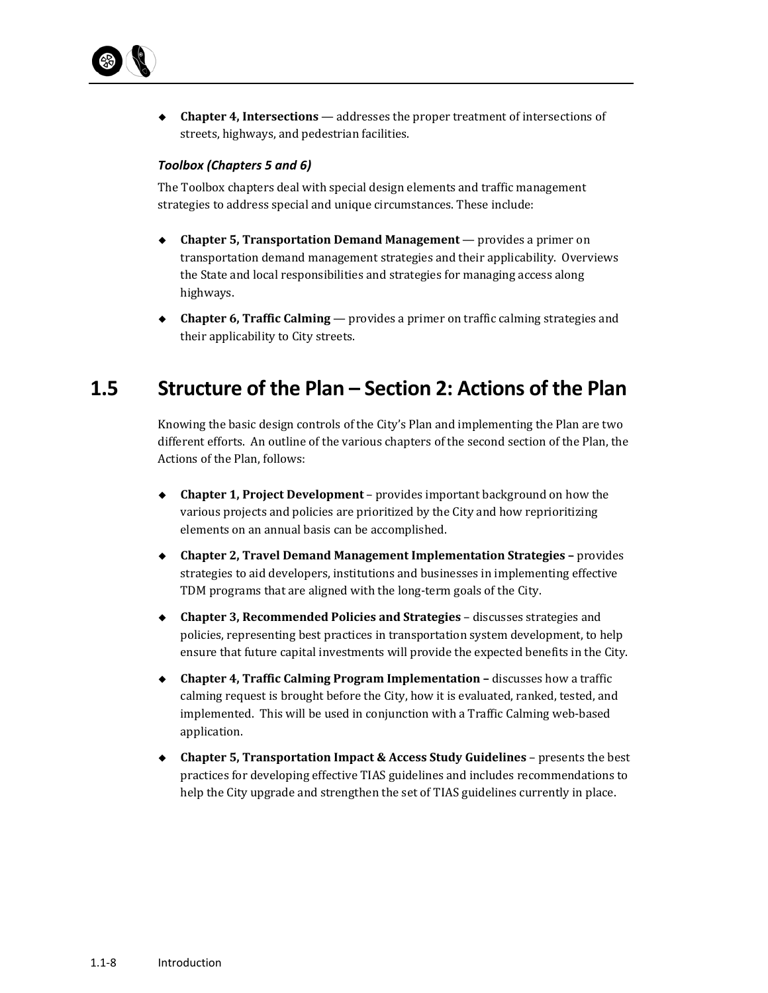

◆ **Chapter 4, Intersections** — addresses the proper treatment of intersections of streets, highways, and pedestrian facilities.

#### *Toolbox (Chapters 5 and 6)*

The Toolbox chapters deal with special design elements and traffic management strategies to address special and unique circumstances. These include:

- ◆ **Chapter 5, Transportation Demand Management** provides a primer on transportation demand management strategies and their applicability. Overviews the State and local responsibilities and strategies for managing access along highways.
- ◆ **Chapter 6, Traffic Calming** provides a primer on traffic calming strategies and their applicability to City streets.

### **1.5 Structure of the Plan – Section 2: Actions of the Plan**

Knowing the basic design controls of the City's Plan and implementing the Plan are two different efforts. An outline of the various chapters of the second section of the Plan, the Actions of the Plan, follows:

- ◆ **Chapter 1, Project Development** provides important background on how the various projects and policies are prioritized by the City and how reprioritizing elements on an annual basis can be accomplished.
- **Chapter 2, Travel Demand Management Implementation Strategies –** provides strategies to aid developers, institutions and businesses in implementing effective TDM programs that are aligned with the long-term goals of the City.
- ◆ Chapter 3, Recommended Policies and Strategies discusses strategies and policies, representing best practices in transportation system development, to help ensure that future capital investments will provide the expected benefits in the City.
- ◆ **Chapter 4, Traffic Calming Program Implementation discusses how a traffic** calming request is brought before the City, how it is evaluated, ranked, tested, and implemented. This will be used in conjunction with a Traffic Calming web-based application.
- ◆ Chapter 5, Transportation Impact & Access Study Guidelines presents the best practices for developing effective TIAS guidelines and includes recommendations to help the City upgrade and strengthen the set of TIAS guidelines currently in place.